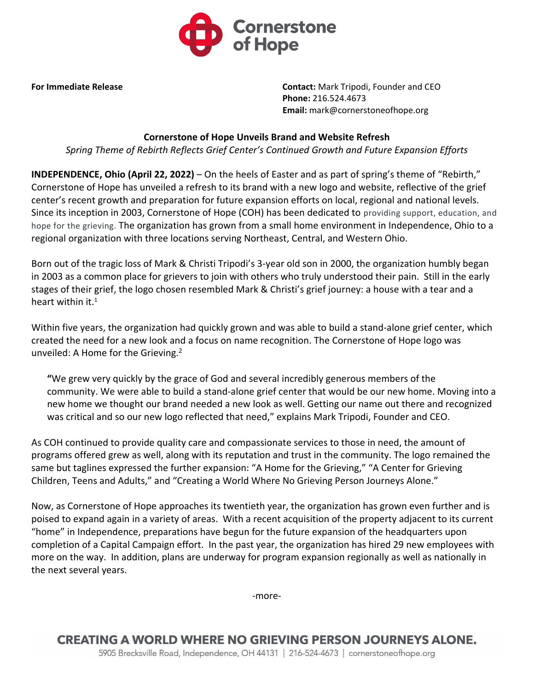

**For Immediate Release Contact:** Mark Tripodi, Founder and CEO **Phone:** 216.524.4673 **Email:** mark@cornerstoneofhope.org

## **Cornerstone of Hope Unveils Brand and Website Refresh**

*Spring Theme of Rebirth Reflects Grief Center's Continued Growth and Future Expansion Efforts* 

**INDEPENDENCE, Ohio (April 22, 2022)** – On the heels of Easter and as part of spring's theme of "Rebirth," Cornerstone of Hope has unveiled a refresh to its brand with a new logo and website, reflective of the grief center's recent growth and preparation for future expansion efforts on local, regional and national levels. Since its inception in 2003, Cornerstone of Hope (COH) has been dedicated to providing support, education, and hope for the grieving. The organization has grown from a small home environment in Independence, Ohio to a regional organization with three locations serving Northeast, Central, and Western Ohio.

Born out of the tragic loss of Mark & Christi Tripodi's 3-year old son in 2000, the organization humbly began in 2003 as a common place for grievers to join with others who truly understood their pain. Still in the early stages of their grief, the logo chosen resembled Mark & Christi's grief journey: a house with a tear and a heart within it.<sup>1</sup>

Within five years, the organization had quickly grown and was able to build a stand-alone grief center, which created the need for a new look and a focus on name recognition. The Cornerstone of Hope logo was unveiled: A Home for the Grieving.<sup>2</sup>

**"**We grew very quickly by the grace of God and several incredibly generous members of the community. We were able to build a stand-alone grief center that would be our new home. Moving into a new home we thought our brand needed a new look as well. Getting our name out there and recognized was critical and so our new logo reflected that need," explains Mark Tripodi, Founder and CEO.

As COH continued to provide quality care and compassionate services to those in need, the amount of programs offered grew as well, along with its reputation and trust in the community. The logo remained the same but taglines expressed the further expansion: "A Home for the Grieving," "A Center for Grieving Children, Teens and Adults," and "Creating a World Where No Grieving Person Journeys Alone."

Now, as Cornerstone of Hope approaches its twentieth year, the organization has grown even further and is poised to expand again in a variety of areas. With a recent acquisition of the property adjacent to its current "home" in Independence, preparations have begun for the future expansion of the headquarters upon completion of a Capital Campaign effort. In the past year, the organization has hired 29 new employees with more on the way. In addition, plans are underway for program expansion regionally as well as nationally in the next several years.

-more-

**CREATING A WORLD WHERE NO GRIEVING PERSON JOURNEYS ALONE.** 5905 Brecksville Road, Independence, OH 44131 | 216-524-4673 | cornerstoneofhope.org